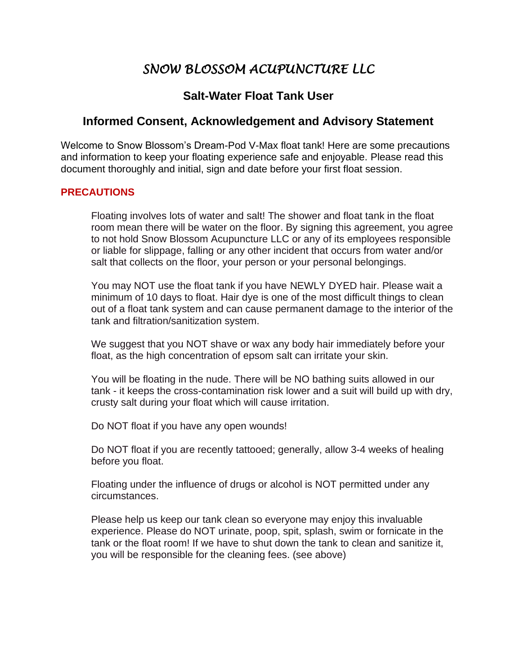# *SNOW BLOSSOM ACUPUNCTURE LLC*

# **Salt-Water Float Tank User**

# **Informed Consent, Acknowledgement and Advisory Statement**

Welcome to Snow Blossom's Dream-Pod V-Max float tank! Here are some precautions and information to keep your floating experience safe and enjoyable. Please read this document thoroughly and initial, sign and date before your first float session.

#### **PRECAUTIONS**

Floating involves lots of water and salt! The shower and float tank in the float room mean there will be water on the floor. By signing this agreement, you agree to not hold Snow Blossom Acupuncture LLC or any of its employees responsible or liable for slippage, falling or any other incident that occurs from water and/or salt that collects on the floor, your person or your personal belongings.

You may NOT use the float tank if you have NEWLY DYED hair. Please wait a minimum of 10 days to float. Hair dye is one of the most difficult things to clean out of a float tank system and can cause permanent damage to the interior of the tank and filtration/sanitization system.

We suggest that you NOT shave or wax any body hair immediately before your float, as the high concentration of epsom salt can irritate your skin.

You will be floating in the nude. There will be NO bathing suits allowed in our tank - it keeps the cross-contamination risk lower and a suit will build up with dry, crusty salt during your float which will cause irritation.

Do NOT float if you have any open wounds!

Do NOT float if you are recently tattooed; generally, allow 3-4 weeks of healing before you float.

Floating under the influence of drugs or alcohol is NOT permitted under any circumstances.

Please help us keep our tank clean so everyone may enjoy this invaluable experience. Please do NOT urinate, poop, spit, splash, swim or fornicate in the tank or the float room! If we have to shut down the tank to clean and sanitize it, you will be responsible for the cleaning fees. (see above)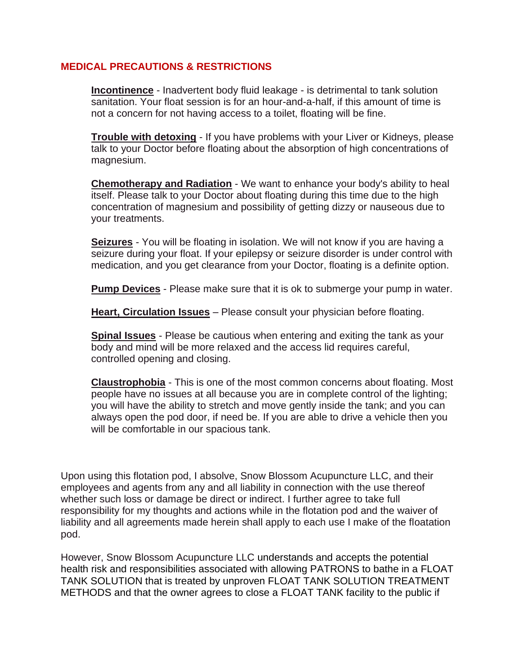#### **MEDICAL PRECAUTIONS & RESTRICTIONS**

**Incontinence** - Inadvertent body fluid leakage - is detrimental to tank solution sanitation. Your float session is for an hour-and-a-half, if this amount of time is not a concern for not having access to a toilet, floating will be fine.

**Trouble with detoxing** - If you have problems with your Liver or Kidneys, please talk to your Doctor before floating about the absorption of high concentrations of magnesium.

**Chemotherapy and Radiation** - We want to enhance your body's ability to heal itself. Please talk to your Doctor about floating during this time due to the high concentration of magnesium and possibility of getting dizzy or nauseous due to your treatments.

**Seizures** - You will be floating in isolation. We will not know if you are having a seizure during your float. If your epilepsy or seizure disorder is under control with medication, and you get clearance from your Doctor, floating is a definite option.

**Pump Devices** - Please make sure that it is ok to submerge your pump in water.

**Heart, Circulation Issues** – Please consult your physician before floating.

**Spinal Issues** - Please be cautious when entering and exiting the tank as your body and mind will be more relaxed and the access lid requires careful, controlled opening and closing.

**Claustrophobia** - This is one of the most common concerns about floating. Most people have no issues at all because you are in complete control of the lighting; you will have the ability to stretch and move gently inside the tank; and you can always open the pod door, if need be. If you are able to drive a vehicle then you will be comfortable in our spacious tank.

Upon using this flotation pod, I absolve, Snow Blossom Acupuncture LLC, and their employees and agents from any and all liability in connection with the use thereof whether such loss or damage be direct or indirect. I further agree to take full responsibility for my thoughts and actions while in the flotation pod and the waiver of liability and all agreements made herein shall apply to each use I make of the floatation pod.

However, Snow Blossom Acupuncture LLC understands and accepts the potential health risk and responsibilities associated with allowing PATRONS to bathe in a FLOAT TANK SOLUTION that is treated by unproven FLOAT TANK SOLUTION TREATMENT METHODS and that the owner agrees to close a FLOAT TANK facility to the public if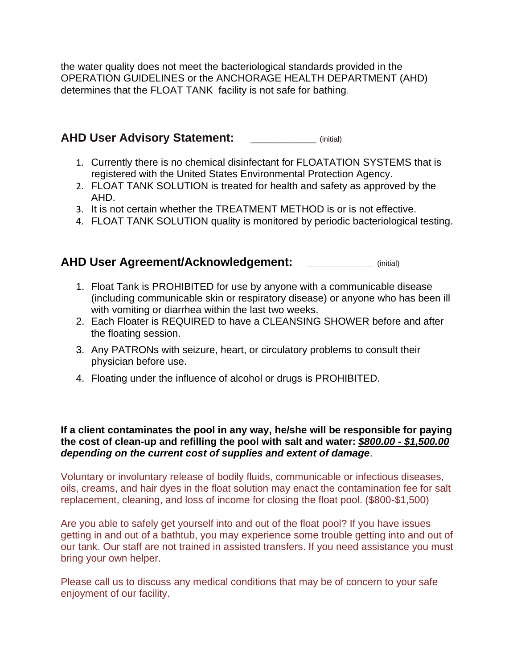the water quality does not meet the bacteriological standards provided in the OPERATION GUIDELINES or the ANCHORAGE HEALTH DEPARTMENT (AHD) determines that the FLOAT TANK facility is not safe for bathing.

# **AHD User Advisory Statement: Consumer and AHD** User Advisory Statement:

- 1. Currently there is no chemical disinfectant for FLOATATION SYSTEMS that is registered with the United States Environmental Protection Agency.
- 2. FLOAT TANK SOLUTION is treated for health and safety as approved by the AHD.
- 3. It is not certain whether the TREATMENT METHOD is or is not effective.
- 4. FLOAT TANK SOLUTION quality is monitored by periodic bacteriological testing.

### **AHD User Agreement/Acknowledgement: \_\_\_\_\_\_\_\_\_\_\_\_** (initial)

- 1. Float Tank is PROHIBITED for use by anyone with a communicable disease (including communicable skin or respiratory disease) or anyone who has been ill with vomiting or diarrhea within the last two weeks.
- 2. Each Floater is REQUIRED to have a CLEANSING SHOWER before and after the floating session.
- 3. Any PATRONs with seizure, heart, or circulatory problems to consult their physician before use.
- 4. Floating under the influence of alcohol or drugs is PROHIBITED.

#### **If a client contaminates the pool in any way, he/she will be responsible for paying the cost of clean-up and refilling the pool with salt and water:** *\$800.00 - \$1,500.00 depending on the current cost of supplies and extent of damage*.

Voluntary or involuntary release of bodily fluids, communicable or infectious diseases, oils, creams, and hair dyes in the float solution may enact the contamination fee for salt replacement, cleaning, and loss of income for closing the float pool. (\$800-\$1,500)

Are you able to safely get yourself into and out of the float pool? If you have issues getting in and out of a bathtub, you may experience some trouble getting into and out of our tank. Our staff are not trained in assisted transfers. If you need assistance you must bring your own helper.

Please call us to discuss any medical conditions that may be of concern to your safe enjoyment of our facility.